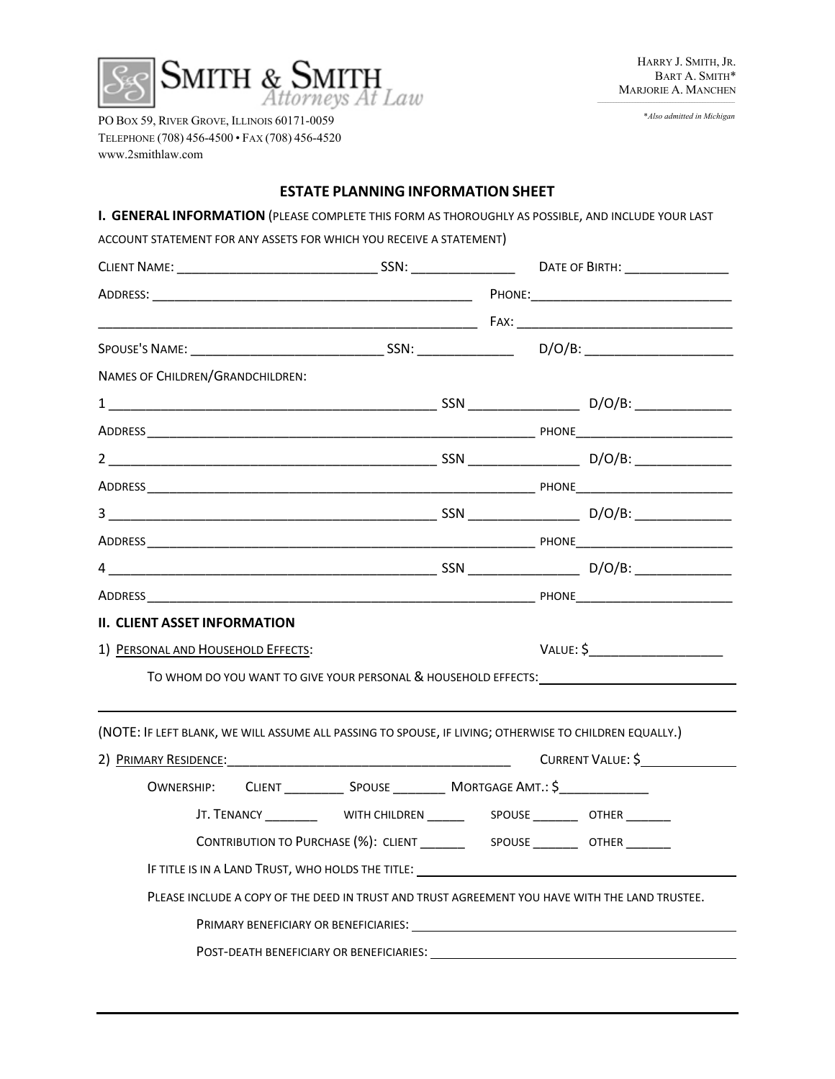

\**Also admitted in Michigan*

PO BOX 59, RIVER GROVE, ILLINOIS 60171-0059 TELEPHONE (708) 456-4500 • FAX (708) 456-4520 www.2smithlaw.com

# **ESTATE PLANNING INFORMATION SHEET**

| I. GENERAL INFORMATION (PLEASE COMPLETE THIS FORM AS THOROUGHLY AS POSSIBLE, AND INCLUDE YOUR LAST             |                                                                                                                                                                                                                                     |  |                   |
|----------------------------------------------------------------------------------------------------------------|-------------------------------------------------------------------------------------------------------------------------------------------------------------------------------------------------------------------------------------|--|-------------------|
| ACCOUNT STATEMENT FOR ANY ASSETS FOR WHICH YOU RECEIVE A STATEMENT)                                            |                                                                                                                                                                                                                                     |  |                   |
|                                                                                                                |                                                                                                                                                                                                                                     |  |                   |
|                                                                                                                |                                                                                                                                                                                                                                     |  |                   |
|                                                                                                                |                                                                                                                                                                                                                                     |  |                   |
|                                                                                                                |                                                                                                                                                                                                                                     |  |                   |
| NAMES OF CHILDREN/GRANDCHILDREN:                                                                               |                                                                                                                                                                                                                                     |  |                   |
|                                                                                                                |                                                                                                                                                                                                                                     |  |                   |
|                                                                                                                |                                                                                                                                                                                                                                     |  |                   |
|                                                                                                                |                                                                                                                                                                                                                                     |  |                   |
|                                                                                                                |                                                                                                                                                                                                                                     |  |                   |
|                                                                                                                |                                                                                                                                                                                                                                     |  |                   |
|                                                                                                                |                                                                                                                                                                                                                                     |  |                   |
|                                                                                                                |                                                                                                                                                                                                                                     |  |                   |
|                                                                                                                |                                                                                                                                                                                                                                     |  |                   |
| <b>II. CLIENT ASSET INFORMATION</b>                                                                            |                                                                                                                                                                                                                                     |  |                   |
| 1) PERSONAL AND HOUSEHOLD EFFECTS:                                                                             |                                                                                                                                                                                                                                     |  |                   |
| TO WHOM DO YOU WANT TO GIVE YOUR PERSONAL & HOUSEHOLD EFFECTS: THE CONDUCTION OF THE CONDUCT OF THE CONDUCT OF |                                                                                                                                                                                                                                     |  |                   |
|                                                                                                                |                                                                                                                                                                                                                                     |  |                   |
| (NOTE: IF LEFT BLANK, WE WILL ASSUME ALL PASSING TO SPOUSE, IF LIVING; OTHERWISE TO CHILDREN EQUALLY.)         |                                                                                                                                                                                                                                     |  |                   |
|                                                                                                                |                                                                                                                                                                                                                                     |  | CURRENT VALUE: \$ |
| OWNERSHIP: CLIENT _______________ SPOUSE ____________ MORTGAGE AMT.: \$_________________                       |                                                                                                                                                                                                                                     |  |                   |
|                                                                                                                | JT. TENANCY ________________WITH CHILDREN ______________SPOUSE ___________OTHER ________                                                                                                                                            |  |                   |
|                                                                                                                |                                                                                                                                                                                                                                     |  |                   |
|                                                                                                                |                                                                                                                                                                                                                                     |  |                   |
| PLEASE INCLUDE A COPY OF THE DEED IN TRUST AND TRUST AGREEMENT YOU HAVE WITH THE LAND TRUSTEE.                 |                                                                                                                                                                                                                                     |  |                   |
|                                                                                                                |                                                                                                                                                                                                                                     |  |                   |
|                                                                                                                | <b>POST-DEATH BENEFICIARY OR BENEFICIARIES:</b> THE STATE STATE STATE STATE STATE STATE STATE STATE STATE STATE STATE STATE STATE STATE STATE STATE STATE STATE STATE STATE STATE STATE STATE STATE STATE STATE STATE STATE STATE S |  |                   |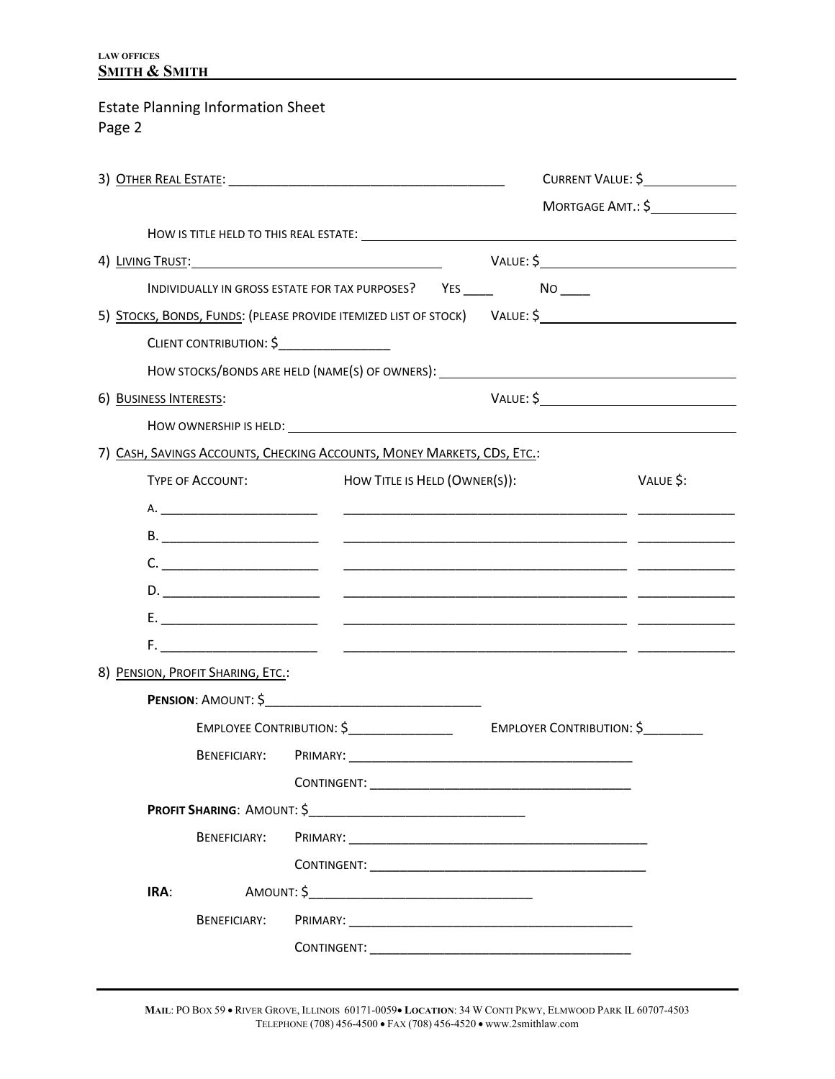### **LAW OFFICES SMITH & SMITH**

# Estate Planning Information Sheet Page 2

|                                                                         |                                                                                   |                                                                                                                                                                                                                                      | CURRENT VALUE: \$ |  |
|-------------------------------------------------------------------------|-----------------------------------------------------------------------------------|--------------------------------------------------------------------------------------------------------------------------------------------------------------------------------------------------------------------------------------|-------------------|--|
|                                                                         |                                                                                   |                                                                                                                                                                                                                                      | MORTGAGE AMT.: \$ |  |
|                                                                         |                                                                                   |                                                                                                                                                                                                                                      |                   |  |
| 4) LIVING TRUST:                                                        |                                                                                   | VALUE: \$                                                                                                                                                                                                                            |                   |  |
|                                                                         | INDIVIDUALLY IN GROSS ESTATE FOR TAX PURPOSES? YES ______________________________ |                                                                                                                                                                                                                                      |                   |  |
|                                                                         |                                                                                   | 5) STOCKS, BONDS, FUNDS: (PLEASE PROVIDE ITEMIZED LIST OF STOCK) VALUE: \$                                                                                                                                                           |                   |  |
| CLIENT CONTRIBUTION: \$                                                 |                                                                                   |                                                                                                                                                                                                                                      |                   |  |
|                                                                         |                                                                                   | HOW STOCKS/BONDS ARE HELD (NAME(S) OF OWNERS): __________________________________                                                                                                                                                    |                   |  |
| 6) BUSINESS INTERESTS:                                                  |                                                                                   |                                                                                                                                                                                                                                      |                   |  |
|                                                                         |                                                                                   |                                                                                                                                                                                                                                      |                   |  |
| 7) CASH, SAVINGS ACCOUNTS, CHECKING ACCOUNTS, MONEY MARKETS, CDS, ETC.: |                                                                                   |                                                                                                                                                                                                                                      |                   |  |
| TYPE OF ACCOUNT:                                                        | HOW TITLE IS HELD (OWNER(S)):                                                     |                                                                                                                                                                                                                                      | VALUE \$:         |  |
|                                                                         |                                                                                   |                                                                                                                                                                                                                                      |                   |  |
|                                                                         |                                                                                   |                                                                                                                                                                                                                                      |                   |  |
|                                                                         |                                                                                   | $C.$ $\qquad \qquad$                                                                                                                                                                                                                 |                   |  |
|                                                                         |                                                                                   |                                                                                                                                                                                                                                      |                   |  |
|                                                                         |                                                                                   |                                                                                                                                                                                                                                      |                   |  |
|                                                                         |                                                                                   | <u>F. Januari (2000), providence and the set of the set of the set of the set of the set of the set of the set of the set of the set of the set of the set of the set of the set of the set of the set of the set of the set of </u> |                   |  |
| 8) PENSION, PROFIT SHARING, ETC.:                                       |                                                                                   |                                                                                                                                                                                                                                      |                   |  |
|                                                                         |                                                                                   |                                                                                                                                                                                                                                      |                   |  |
|                                                                         |                                                                                   |                                                                                                                                                                                                                                      |                   |  |
|                                                                         |                                                                                   |                                                                                                                                                                                                                                      |                   |  |
|                                                                         |                                                                                   |                                                                                                                                                                                                                                      |                   |  |
|                                                                         | <b>PROFIT SHARING: AMOUNT: \$</b>                                                 |                                                                                                                                                                                                                                      |                   |  |
| BENEFICIARY:                                                            |                                                                                   |                                                                                                                                                                                                                                      |                   |  |
|                                                                         |                                                                                   |                                                                                                                                                                                                                                      |                   |  |
| IRA:                                                                    |                                                                                   |                                                                                                                                                                                                                                      |                   |  |
| <b>BENEFICIARY:</b>                                                     |                                                                                   |                                                                                                                                                                                                                                      |                   |  |
|                                                                         |                                                                                   |                                                                                                                                                                                                                                      |                   |  |

**MAIL**: PO BOX 59 • RIVER GROVE, ILLINOIS 60171-0059• **LOCATION**: 34 W CONTI PKWY, ELMWOOD PARK IL 60707-4503 TELEPHONE (708) 456-4500 • FAX (708) 456-4520 • www.2smithlaw.com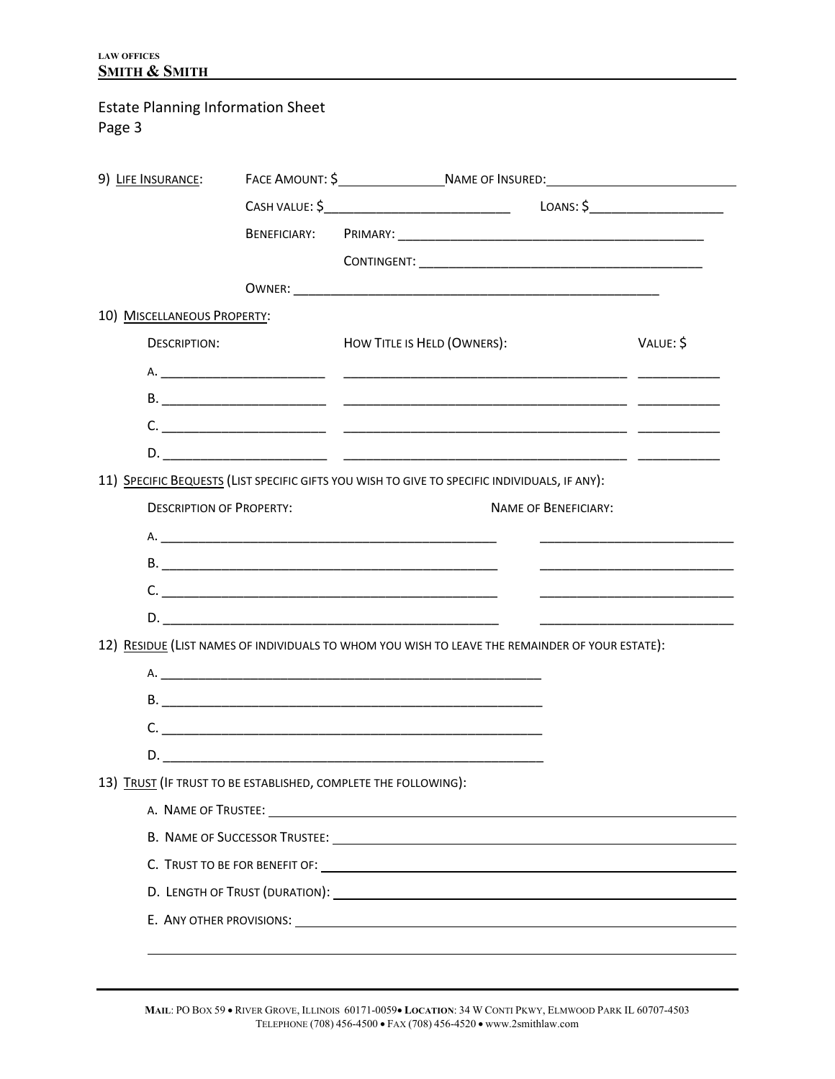# Estate Planning Information Sheet

Page 3

| 9) LIFE INSURANCE:              |                                                                                                 |           |
|---------------------------------|-------------------------------------------------------------------------------------------------|-----------|
|                                 |                                                                                                 | LOANS: \$ |
|                                 |                                                                                                 |           |
|                                 |                                                                                                 |           |
|                                 |                                                                                                 |           |
| 10) MISCELLANEOUS PROPERTY:     |                                                                                                 |           |
| <b>DESCRIPTION:</b>             | HOW TITLE IS HELD (OWNERS):                                                                     | VALUE: \$ |
|                                 |                                                                                                 |           |
|                                 |                                                                                                 |           |
|                                 |                                                                                                 |           |
|                                 |                                                                                                 |           |
|                                 | 11) SPECIFIC BEQUESTS (LIST SPECIFIC GIFTS YOU WISH TO GIVE TO SPECIFIC INDIVIDUALS, IF ANY):   |           |
| <b>DESCRIPTION OF PROPERTY:</b> | <b>NAME OF BENEFICIARY:</b>                                                                     |           |
|                                 |                                                                                                 |           |
|                                 |                                                                                                 |           |
|                                 | $C.$ $\qquad \qquad$                                                                            |           |
|                                 |                                                                                                 |           |
|                                 | 12) RESIDUE (LIST NAMES OF INDIVIDUALS TO WHOM YOU WISH TO LEAVE THE REMAINDER OF YOUR ESTATE): |           |
|                                 |                                                                                                 |           |
|                                 |                                                                                                 |           |
|                                 | C.                                                                                              |           |
|                                 | D.                                                                                              |           |
|                                 | 13) TRUST (IF TRUST TO BE ESTABLISHED, COMPLETE THE FOLLOWING):                                 |           |
|                                 |                                                                                                 |           |
|                                 |                                                                                                 |           |
|                                 |                                                                                                 |           |
|                                 |                                                                                                 |           |
|                                 |                                                                                                 |           |
|                                 |                                                                                                 |           |